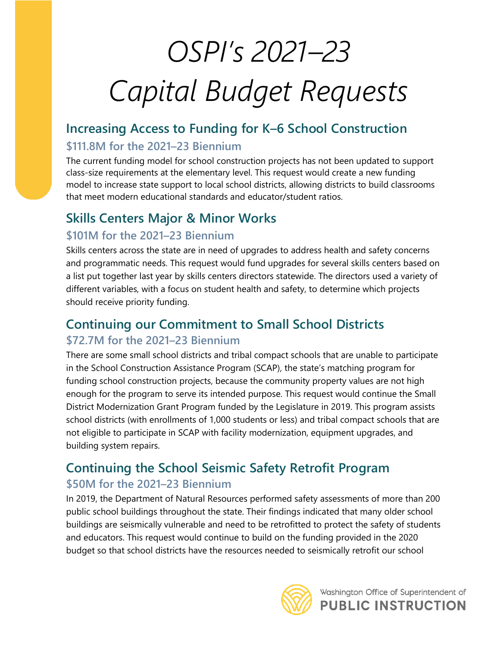# *OSPI's 2021–23 Capital Budget Requests*

# **Increasing Access to Funding for K–6 School Construction**

#### **\$111.8M for the 2021–23 Biennium**

The current funding model for school construction projects has not been updated to support class-size requirements at the elementary level. This request would create a new funding model to increase state support to local school districts, allowing districts to build classrooms that meet modern educational standards and educator/student ratios.

## **Skills Centers Major & Minor Works**

#### **\$101M for the 2021–23 Biennium**

Skills centers across the state are in need of upgrades to address health and safety concerns and programmatic needs. This request would fund upgrades for several skills centers based on a list put together last year by skills centers directors statewide. The directors used a variety of different variables, with a focus on student health and safety, to determine which projects should receive priority funding.

## **Continuing our Commitment to Small School Districts \$72.7M for the 2021–23 Biennium**

There are some small school districts and tribal compact schools that are unable to participate in the School Construction Assistance Program (SCAP), the state's matching program for funding school construction projects, because the community property values are not high enough for the program to serve its intended purpose. This request would continue the Small District Modernization Grant Program funded by the Legislature in 2019. This program assists school districts (with enrollments of 1,000 students or less) and tribal compact schools that are not eligible to participate in SCAP with facility modernization, equipment upgrades, and building system repairs.

# **Continuing the School Seismic Safety Retrofit Program**

#### **\$50M for the 2021–23 Biennium**

In 2019, the Department of Natural Resources performed safety assessments of more than 200 public school buildings throughout the state. Their findings indicated that many older school buildings are seismically vulnerable and need to be retrofitted to protect the safety of students and educators. This request would continue to build on the funding provided in the 2020 budget so that school districts have the resources needed to seismically retrofit our school



Washington Office of Superintendent of **PUBLIC INSTRUCTION**